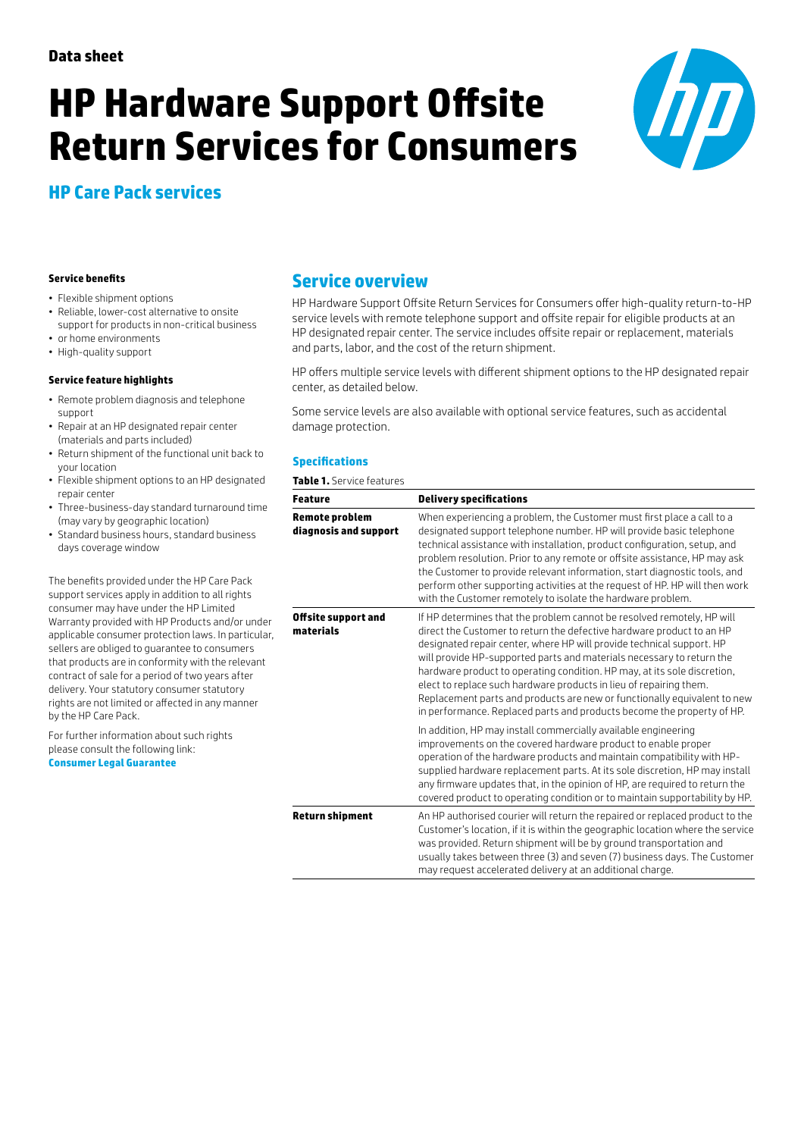# **HP Hardware Support Offsite Return Services for Consumers**



# **HP Care Pack services**

#### **Service benefits**

- Flexible shipment options
- Reliable, lower-cost alternative to onsite support for products in non-critical business
- or home environments
- High-quality support

#### **Service feature highlights**

- Remote problem diagnosis and telephone support
- Repair at an HP designated repair center (materials and parts included)
- Return shipment of the functional unit back to your location
- Flexible shipment options to an HP designated repair center
- Three-business-day standard turnaround time (may vary by geographic location)
- Standard business hours, standard business days coverage window

The benefits provided under the HP Care Pack support services apply in addition to all rights consumer may have under the HP Limited Warranty provided with HP Products and/or under applicable consumer protection laws. In particular, sellers are obliged to guarantee to consumers that products are in conformity with the relevant contract of sale for a period of two years after delivery. Your statutory consumer statutory rights are not limited or affected in any manner by the HP Care Pack.

For further information about such rights please consult the following link: **[Consumer Legal Guarantee](http://h10025.www1.hp.com/ewfrf/wc/document?cc=uk&lc=en&docname=c03922002)**

# **Service overview**

HP Hardware Support Offsite Return Services for Consumers offer high-quality return-to-HP service levels with remote telephone support and offsite repair for eligible products at an HP designated repair center. The service includes offsite repair or replacement, materials and parts, labor, and the cost of the return shipment.

HP offers multiple service levels with different shipment options to the HP designated repair center, as detailed below.

Some service levels are also available with optional service features, such as accidental damage protection.

#### **Specifications**

**Table 1.** Service features

| <b>Feature</b>                                 | <b>Delivery specifications</b>                                                                                                                                                                                                                                                                                                                                                                                                                                                                                                                                                                            |  |
|------------------------------------------------|-----------------------------------------------------------------------------------------------------------------------------------------------------------------------------------------------------------------------------------------------------------------------------------------------------------------------------------------------------------------------------------------------------------------------------------------------------------------------------------------------------------------------------------------------------------------------------------------------------------|--|
| <b>Remote problem</b><br>diagnosis and support | When experiencing a problem, the Customer must first place a call to a<br>designated support telephone number. HP will provide basic telephone<br>technical assistance with installation, product configuration, setup, and<br>problem resolution. Prior to any remote or offsite assistance, HP may ask<br>the Customer to provide relevant information, start diagnostic tools, and<br>perform other supporting activities at the request of HP. HP will then work<br>with the Customer remotely to isolate the hardware problem.                                                                       |  |
| Offsite support and<br>materials               | If HP determines that the problem cannot be resolved remotely, HP will<br>direct the Customer to return the defective hardware product to an HP<br>designated repair center, where HP will provide technical support. HP<br>will provide HP-supported parts and materials necessary to return the<br>hardware product to operating condition. HP may, at its sole discretion,<br>elect to replace such hardware products in lieu of repairing them.<br>Replacement parts and products are new or functionally equivalent to new<br>in performance. Replaced parts and products become the property of HP. |  |
|                                                | In addition, HP may install commercially available engineering<br>improvements on the covered hardware product to enable proper<br>operation of the hardware products and maintain compatibility with HP-<br>supplied hardware replacement parts. At its sole discretion, HP may install<br>any firmware updates that, in the opinion of HP, are required to return the<br>covered product to operating condition or to maintain supportability by HP.                                                                                                                                                    |  |
| <b>Return shipment</b>                         | An HP authorised courier will return the repaired or replaced product to the<br>Customer's location, if it is within the geographic location where the service<br>was provided. Return shipment will be by ground transportation and<br>usually takes between three (3) and seven (7) business days. The Customer<br>may request accelerated delivery at an additional charge.                                                                                                                                                                                                                            |  |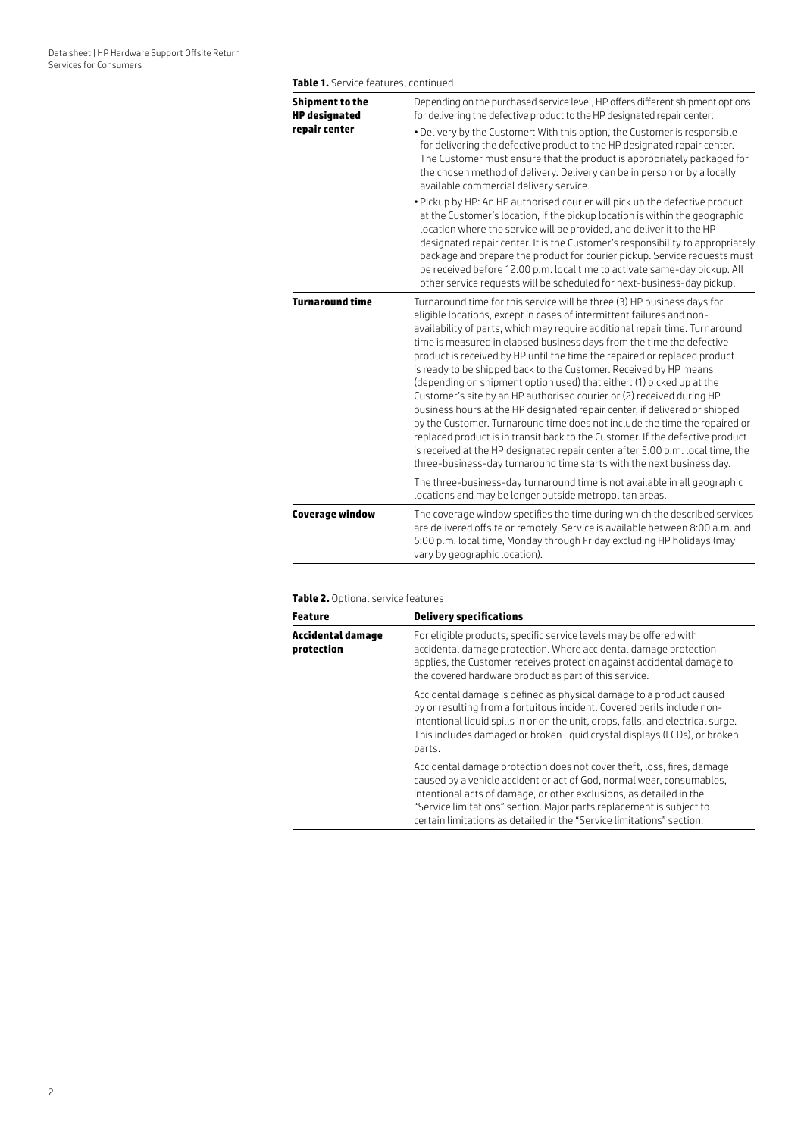| <b>Shipment to the</b> | Depending on the purchased service level, HP offers different shipment options                                                                                                                                                                                                                                                                                                                                                                                                                                                                                                                                                                                                                                                                                                                                                                                                                                                                                                                                       |
|------------------------|----------------------------------------------------------------------------------------------------------------------------------------------------------------------------------------------------------------------------------------------------------------------------------------------------------------------------------------------------------------------------------------------------------------------------------------------------------------------------------------------------------------------------------------------------------------------------------------------------------------------------------------------------------------------------------------------------------------------------------------------------------------------------------------------------------------------------------------------------------------------------------------------------------------------------------------------------------------------------------------------------------------------|
| <b>HP</b> designated   | for delivering the defective product to the HP designated repair center:                                                                                                                                                                                                                                                                                                                                                                                                                                                                                                                                                                                                                                                                                                                                                                                                                                                                                                                                             |
| repair center          | . Delivery by the Customer: With this option, the Customer is responsible<br>for delivering the defective product to the HP designated repair center.<br>The Customer must ensure that the product is appropriately packaged for<br>the chosen method of delivery. Delivery can be in person or by a locally<br>available commercial delivery service.                                                                                                                                                                                                                                                                                                                                                                                                                                                                                                                                                                                                                                                               |
|                        | . Pickup by HP: An HP authorised courier will pick up the defective product<br>at the Customer's location, if the pickup location is within the geographic<br>location where the service will be provided, and deliver it to the HP<br>designated repair center. It is the Customer's responsibility to appropriately<br>package and prepare the product for courier pickup. Service requests must<br>be received before 12:00 p.m. local time to activate same-day pickup. All<br>other service requests will be scheduled for next-business-day pickup.                                                                                                                                                                                                                                                                                                                                                                                                                                                            |
| <b>Turnaround time</b> | Turnaround time for this service will be three (3) HP business days for<br>eligible locations, except in cases of intermittent failures and non-<br>availability of parts, which may require additional repair time. Turnaround<br>time is measured in elapsed business days from the time the defective<br>product is received by HP until the time the repaired or replaced product<br>is ready to be shipped back to the Customer. Received by HP means<br>(depending on shipment option used) that either: (1) picked up at the<br>Customer's site by an HP authorised courier or (2) received during HP<br>business hours at the HP designated repair center, if delivered or shipped<br>by the Customer. Turnaround time does not include the time the repaired or<br>replaced product is in transit back to the Customer. If the defective product<br>is received at the HP designated repair center after 5:00 p.m. local time, the<br>three-business-day turnaround time starts with the next business day. |
|                        | The three-business-day turnaround time is not available in all geographic<br>locations and may be longer outside metropolitan areas.                                                                                                                                                                                                                                                                                                                                                                                                                                                                                                                                                                                                                                                                                                                                                                                                                                                                                 |
| <b>Coverage window</b> | The coverage window specifies the time during which the described services<br>are delivered offsite or remotely. Service is available between 8:00 a.m. and<br>5:00 p.m. local time, Monday through Friday excluding HP holidays (may<br>vary by geographic location).                                                                                                                                                                                                                                                                                                                                                                                                                                                                                                                                                                                                                                                                                                                                               |

#### **Table 2.** Optional service features

| <b>Feature</b>                  | <b>Delivery specifications</b>                                                                                                                                                                                                                                                                                                                                          |
|---------------------------------|-------------------------------------------------------------------------------------------------------------------------------------------------------------------------------------------------------------------------------------------------------------------------------------------------------------------------------------------------------------------------|
| Accidental damage<br>protection | For eligible products, specific service levels may be offered with<br>accidental damage protection. Where accidental damage protection<br>applies, the Customer receives protection against accidental damage to<br>the covered hardware product as part of this service.                                                                                               |
|                                 | Accidental damage is defined as physical damage to a product caused<br>by or resulting from a fortuitous incident. Covered perils include non-<br>intentional liquid spills in or on the unit, drops, falls, and electrical surge.<br>This includes damaged or broken liquid crystal displays (LCDs), or broken<br>parts.                                               |
|                                 | Accidental damage protection does not cover theft, loss, fires, damage<br>caused by a vehicle accident or act of God, normal wear, consumables,<br>intentional acts of damage, or other exclusions, as detailed in the<br>"Service limitations" section. Major parts replacement is subject to<br>certain limitations as detailed in the "Service limitations" section. |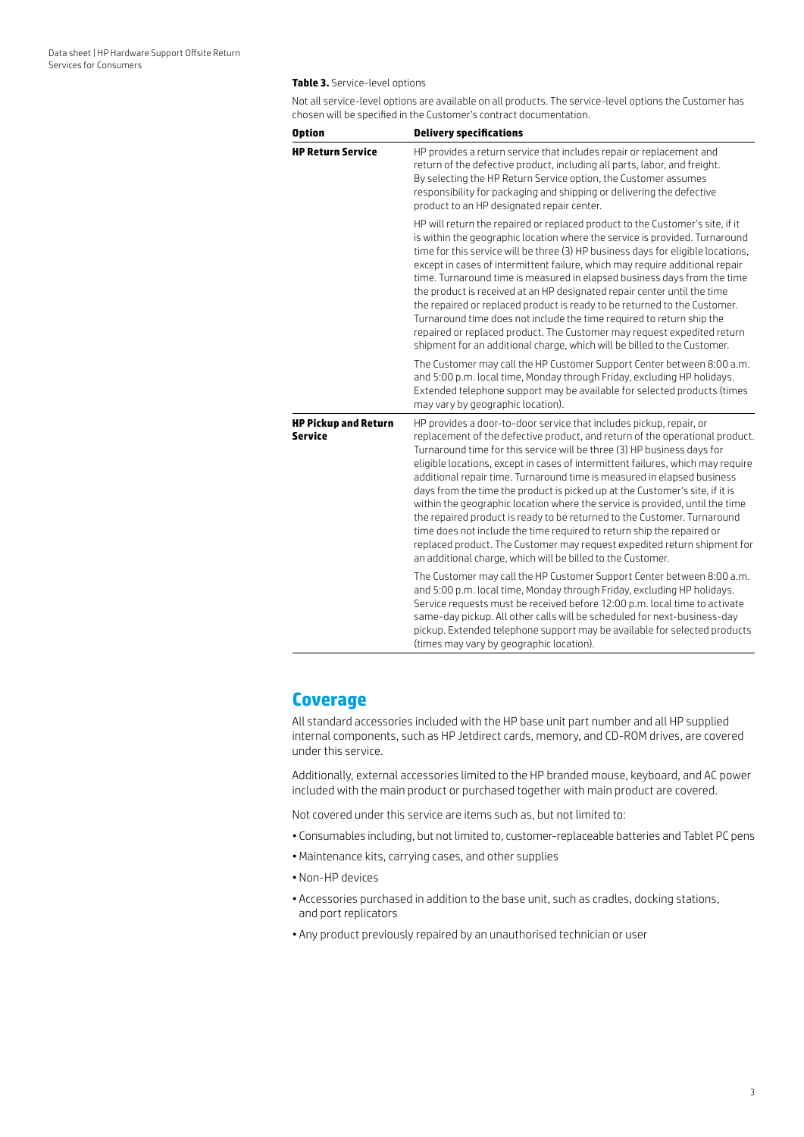#### **Table 3.** Service-level options

Not all service-level options are available on all products. The service-level options the Customer has chosen will be specified in the Customer's contract documentation.

| <b>Option</b>                          | <b>Delivery specifications</b>                                                                                                                                                                                                                                                                                                                                                                                                                                                                                                                                                                                                                                                                                                                                                                                                                                |
|----------------------------------------|---------------------------------------------------------------------------------------------------------------------------------------------------------------------------------------------------------------------------------------------------------------------------------------------------------------------------------------------------------------------------------------------------------------------------------------------------------------------------------------------------------------------------------------------------------------------------------------------------------------------------------------------------------------------------------------------------------------------------------------------------------------------------------------------------------------------------------------------------------------|
| <b>HP Return Service</b>               | HP provides a return service that includes repair or replacement and<br>return of the defective product, including all parts, labor, and freight.<br>By selecting the HP Return Service option, the Customer assumes<br>responsibility for packaging and shipping or delivering the defective<br>product to an HP designated repair center.                                                                                                                                                                                                                                                                                                                                                                                                                                                                                                                   |
|                                        | HP will return the repaired or replaced product to the Customer's site, if it<br>is within the geographic location where the service is provided. Turnaround<br>time for this service will be three (3) HP business days for eligible locations,<br>except in cases of intermittent failure, which may require additional repair<br>time. Turnaround time is measured in elapsed business days from the time<br>the product is received at an HP designated repair center until the time<br>the repaired or replaced product is ready to be returned to the Customer.<br>Turnaround time does not include the time required to return ship the<br>repaired or replaced product. The Customer may request expedited return<br>shipment for an additional charge, which will be billed to the Customer.                                                         |
|                                        | The Customer may call the HP Customer Support Center between 8:00 a.m.<br>and 5:00 p.m. local time, Monday through Friday, excluding HP holidays.<br>Extended telephone support may be available for selected products (times<br>may vary by geographic location).                                                                                                                                                                                                                                                                                                                                                                                                                                                                                                                                                                                            |
| <b>HP Pickup and Return</b><br>Service | HP provides a door-to-door service that includes pickup, repair, or<br>replacement of the defective product, and return of the operational product.<br>Turnaround time for this service will be three (3) HP business days for<br>eligible locations, except in cases of intermittent failures, which may require<br>additional repair time. Turnaround time is measured in elapsed business<br>days from the time the product is picked up at the Customer's site, if it is<br>within the geographic location where the service is provided, until the time<br>the repaired product is ready to be returned to the Customer. Turnaround<br>time does not include the time required to return ship the repaired or<br>replaced product. The Customer may request expedited return shipment for<br>an additional charge, which will be billed to the Customer. |
|                                        | The Customer may call the HP Customer Support Center between 8:00 a.m.<br>and 5:00 p.m. local time, Monday through Friday, excluding HP holidays.<br>Service requests must be received before 12:00 p.m. local time to activate<br>same-day pickup. All other calls will be scheduled for next-business-day<br>pickup. Extended telephone support may be available for selected products<br>(times may vary by geographic location).                                                                                                                                                                                                                                                                                                                                                                                                                          |

### **Coverage**

All standard accessories included with the HP base unit part number and all HP supplied internal components, such as HP Jetdirect cards, memory, and CD-ROM drives, are covered under this service.

Additionally, external accessories limited to the HP branded mouse, keyboard, and AC power included with the main product or purchased together with main product are covered.

Not covered under this service are items such as, but not limited to:

- Consumables including, but not limited to, customer-replaceable batteries and Tablet PC pens
- •Maintenance kits, carrying cases, and other supplies
- Non-HP devices
- Accessories purchased in addition to the base unit, such as cradles, docking stations, and port replicators
- Any product previously repaired by an unauthorised technician or user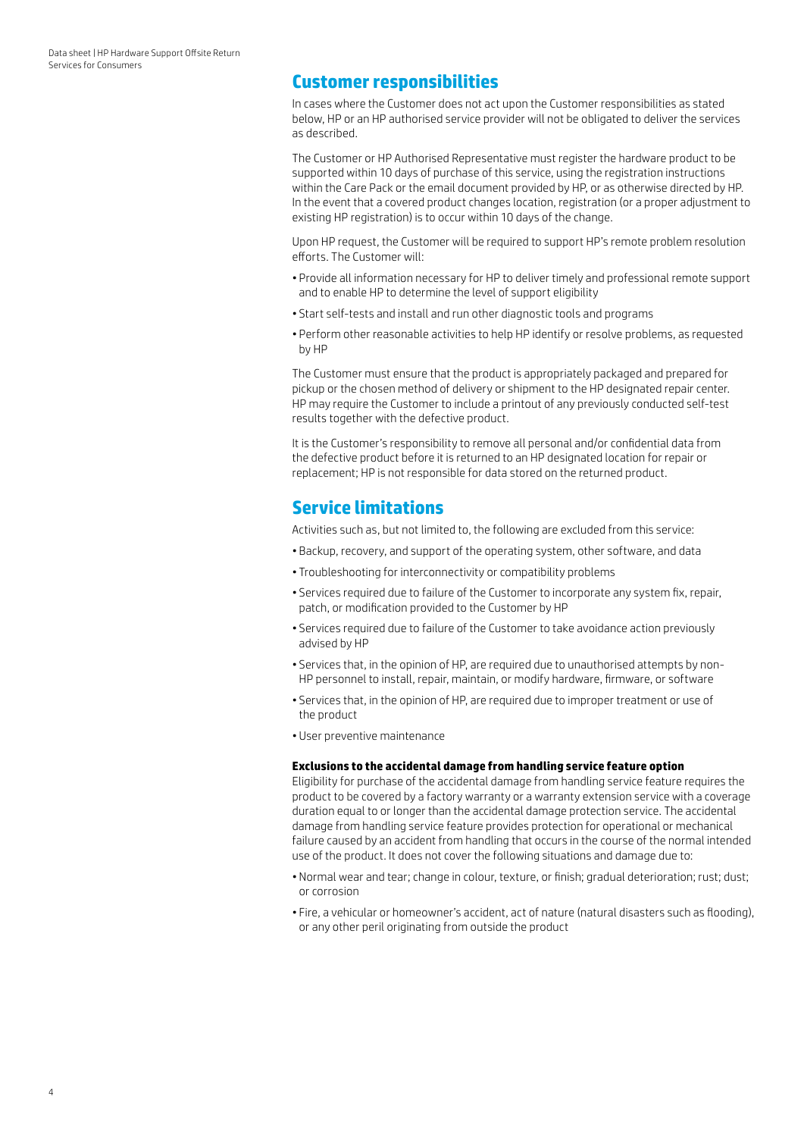## **Customer responsibilities**

In cases where the Customer does not act upon the Customer responsibilities as stated below, HP or an HP authorised service provider will not be obligated to deliver the services as described.

The Customer or HP Authorised Representative must register the hardware product to be supported within 10 days of purchase of this service, using the registration instructions within the Care Pack or the email document provided by HP, or as otherwise directed by HP. In the event that a covered product changes location, registration (or a proper adjustment to existing HP registration) is to occur within 10 days of the change.

Upon HP request, the Customer will be required to support HP's remote problem resolution efforts. The Customer will:

- Provide all information necessary for HP to deliver timely and professional remote support and to enable HP to determine the level of support eligibility
- Start self-tests and install and run other diagnostic tools and programs
- Perform other reasonable activities to help HP identify or resolve problems, as requested by HP

The Customer must ensure that the product is appropriately packaged and prepared for pickup or the chosen method of delivery or shipment to the HP designated repair center. HP may require the Customer to include a printout of any previously conducted self-test results together with the defective product.

It is the Customer's responsibility to remove all personal and/or confidential data from the defective product before it is returned to an HP designated location for repair or replacement; HP is not responsible for data stored on the returned product.

## **Service limitations**

Activities such as, but not limited to, the following are excluded from this service:

- Backup, recovery, and support of the operating system, other software, and data
- Troubleshooting for interconnectivity or compatibility problems
- Services required due to failure of the Customer to incorporate any system fix, repair, patch, or modification provided to the Customer by HP
- Services required due to failure of the Customer to take avoidance action previously advised by HP
- Services that, in the opinion of HP, are required due to unauthorised attempts by non-HP personnel to install, repair, maintain, or modify hardware, firmware, or software
- Services that, in the opinion of HP, are required due to improper treatment or use of the product
- User preventive maintenance

#### **Exclusions to the accidental damage from handling service feature option**

Eligibility for purchase of the accidental damage from handling service feature requires the product to be covered by a factory warranty or a warranty extension service with a coverage duration equal to or longer than the accidental damage protection service. The accidental damage from handling service feature provides protection for operational or mechanical failure caused by an accident from handling that occurs in the course of the normal intended use of the product. It does not cover the following situations and damage due to:

- Normal wear and tear; change in colour, texture, or finish; gradual deterioration; rust; dust; or corrosion
- Fire, a vehicular or homeowner's accident, act of nature (natural disasters such as flooding), or any other peril originating from outside the product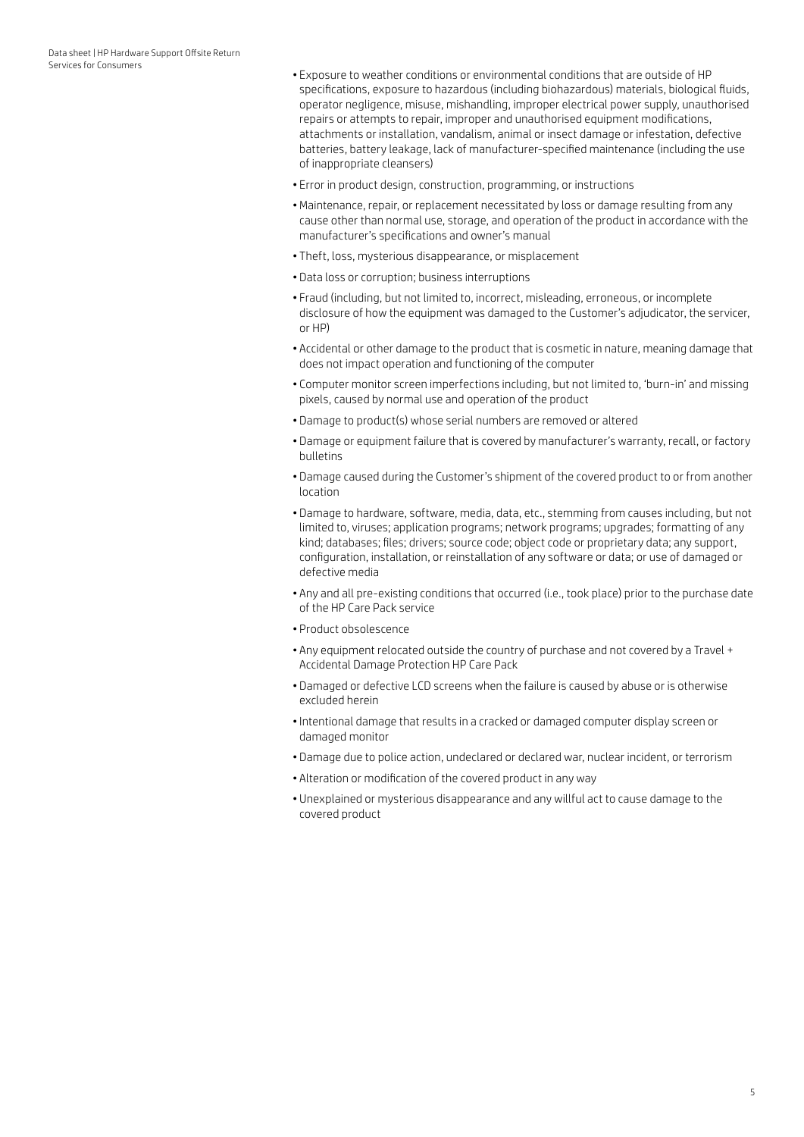- Exposure to weather conditions or environmental conditions that are outside of HP specifications, exposure to hazardous (including biohazardous) materials, biological fluids, operator negligence, misuse, mishandling, improper electrical power supply, unauthorised repairs or attempts to repair, improper and unauthorised equipment modifications, attachments or installation, vandalism, animal or insect damage or infestation, defective batteries, battery leakage, lack of manufacturer-specified maintenance (including the use of inappropriate cleansers)
- Error in product design, construction, programming, or instructions
- •Maintenance, repair, or replacement necessitated by loss or damage resulting from any cause other than normal use, storage, and operation of the product in accordance with the manufacturer's specifications and owner's manual
- Theft, loss, mysterious disappearance, or misplacement
- Data loss or corruption; business interruptions
- Fraud (including, but not limited to, incorrect, misleading, erroneous, or incomplete disclosure of how the equipment was damaged to the Customer's adjudicator, the servicer, or HP)
- Accidental or other damage to the product that is cosmetic in nature, meaning damage that does not impact operation and functioning of the computer
- Computer monitor screen imperfections including, but not limited to, 'burn-in' and missing pixels, caused by normal use and operation of the product
- Damage to product(s) whose serial numbers are removed or altered
- Damage or equipment failure that is covered by manufacturer's warranty, recall, or factory bulletins
- Damage caused during the Customer's shipment of the covered product to or from another location
- Damage to hardware, software, media, data, etc., stemming from causes including, but not limited to, viruses; application programs; network programs; upgrades; formatting of any kind; databases; files; drivers; source code; object code or proprietary data; any support, configuration, installation, or reinstallation of any software or data; or use of damaged or defective media
- Any and all pre-existing conditions that occurred (i.e., took place) prior to the purchase date of the HP Care Pack service
- Product obsolescence
- Any equipment relocated outside the country of purchase and not covered by a Travel + Accidental Damage Protection HP Care Pack
- Damaged or defective LCD screens when the failure is caused by abuse or is otherwise excluded herein
- •Intentional damage that results in a cracked or damaged computer display screen or damaged monitor
- Damage due to police action, undeclared or declared war, nuclear incident, or terrorism
- Alteration or modification of the covered product in any way
- Unexplained or mysterious disappearance and any willful act to cause damage to the covered product